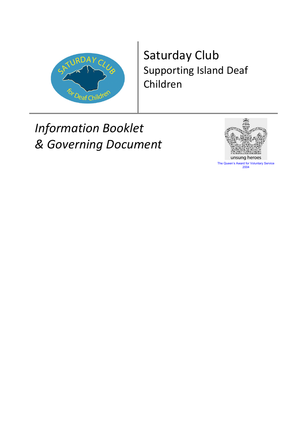

## Saturday Club Supporting Island Deaf Children

# *Information Booklet & Governing Document*



The Queen's Award for Voluntary Service 2004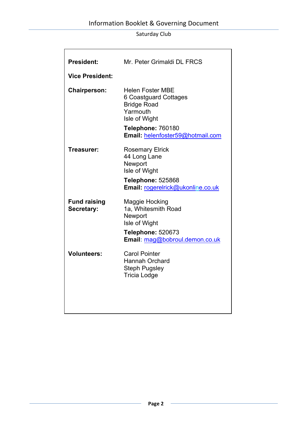| <b>President:</b>                 | Mr. Peter Grimaldi DL FRCS                                                                                                                                   |
|-----------------------------------|--------------------------------------------------------------------------------------------------------------------------------------------------------------|
| <b>Vice President:</b>            |                                                                                                                                                              |
| <b>Chairperson:</b>               | <b>Helen Foster MBE</b><br>6 Coastguard Cottages<br><b>Bridge Road</b><br>Yarmouth<br>Isle of Wight<br>Telephone: 760180<br>Email: helenfoster59@hotmail.com |
| Treasurer:                        | <b>Rosemary Elrick</b><br>44 Long Lane<br>Newport<br>Isle of Wight<br><b>Telephone: 525868</b><br>Email: rogerelrick@ukonline.co.uk                          |
| <b>Fund raising</b><br>Secretary: | Maggie Hocking<br>1a, Whitesmith Road<br>Newport<br>Isle of Wight<br><b>Telephone: 520673</b><br>Email: mag@bobroul.demon.co.uk                              |
| <b>Volunteers:</b>                | <b>Carol Pointer</b><br><b>Hannah Orchard</b><br><b>Steph Pugsley</b><br><b>Tricia Lodge</b>                                                                 |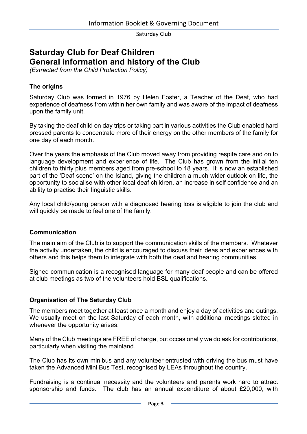## **Saturday Club for Deaf Children General information and history of the Club**

*(Extracted from the Child Protection Policy)*

#### **The origins**

Saturday Club was formed in 1976 by Helen Foster, a Teacher of the Deaf, who had experience of deafness from within her own family and was aware of the impact of deafness upon the family unit.

By taking the deaf child on day trips or taking part in various activities the Club enabled hard pressed parents to concentrate more of their energy on the other members of the family for one day of each month.

Over the years the emphasis of the Club moved away from providing respite care and on to language development and experience of life. The Club has grown from the initial ten children to thirty plus members aged from pre-school to 18 years. It is now an established part of the 'Deaf scene' on the Island, giving the children a much wider outlook on life, the opportunity to socialise with other local deaf children, an increase in self confidence and an ability to practise their linguistic skills.

Any local child/young person with a diagnosed hearing loss is eligible to join the club and will quickly be made to feel one of the family.

#### **Communication**

The main aim of the Club is to support the communication skills of the members. Whatever the activity undertaken, the child is encouraged to discuss their ideas and experiences with others and this helps them to integrate with both the deaf and hearing communities.

Signed communication is a recognised language for many deaf people and can be offered at club meetings as two of the volunteers hold BSL qualifications.

#### **Organisation of The Saturday Club**

The members meet together at least once a month and enjoy a day of activities and outings. We usually meet on the last Saturday of each month, with additional meetings slotted in whenever the opportunity arises.

Many of the Club meetings are FREE of charge, but occasionally we do ask for contributions, particularly when visiting the mainland.

The Club has its own minibus and any volunteer entrusted with driving the bus must have taken the Advanced Mini Bus Test, recognised by LEAs throughout the country.

Fundraising is a continual necessity and the volunteers and parents work hard to attract sponsorship and funds. The club has an annual expenditure of about £20,000, with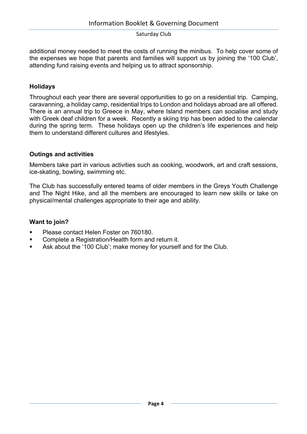additional money needed to meet the costs of running the minibus. To help cover some of the expenses we hope that parents and families will support us by joining the '100 Club', attending fund raising events and helping us to attract sponsorship.

#### **Holidays**

Throughout each year there are several opportunities to go on a residential trip. Camping, caravanning, a holiday camp, residential trips to London and holidays abroad are all offered. There is an annual trip to Greece in May, where Island members can socialise and study with Greek deaf children for a week. Recently a skiing trip has been added to the calendar during the spring term. These holidays open up the children's life experiences and help them to understand different cultures and lifestyles.

#### **Outings and activities**

Members take part in various activities such as cooking, woodwork, art and craft sessions, ice-skating, bowling, swimming etc.

The Club has successfully entered teams of older members in the Greys Youth Challenge and The Night Hike, and all the members are encouraged to learn new skills or take on physical/mental challenges appropriate to their age and ability.

#### **Want to join?**

- § Please contact Helen Foster on 760180.
- § Complete a Registration/Health form and return it.
- Ask about the '100 Club'; make money for yourself and for the Club.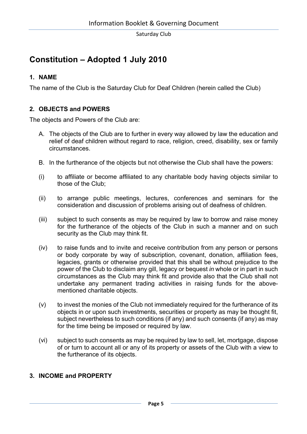## **Constitution – Adopted 1 July 2010**

#### **1. NAME**

The name of the Club is the Saturday Club for Deaf Children (herein called the Club)

#### **2. OBJECTS and POWERS**

The objects and Powers of the Club are:

- A. The objects of the Club are to further in every way allowed by law the education and relief of deaf children without regard to race, religion, creed, disability, sex or family circumstances.
- B. In the furtherance of the objects but not otherwise the Club shall have the powers:
- (i) to affiliate or become affiliated to any charitable body having objects similar to those of the Club;
- (ii) to arrange public meetings, lectures, conferences and seminars for the consideration and discussion of problems arising out of deafness of children.
- (iii) subject to such consents as may be required by law to borrow and raise money for the furtherance of the objects of the Club in such a manner and on such security as the Club may think fit.
- (iv) to raise funds and to invite and receive contribution from any person or persons or body corporate by way of subscription, covenant, donation, affiliation fees, legacies, grants or otherwise provided that this shall be without prejudice to the power of the Club to disclaim any gill, legacy or bequest *in* whole or in part in such circumstances as the Club may think fit and provide also that the Club shall not undertake any permanent trading activities in raising funds for the abovementioned charitable objects.
- (v) to invest the monies of the Club not immediately required for the furtherance of its objects in or upon such investments, securities or property as may be thought fit, subject nevertheless to such conditions (if any) and such consents (if any) as may for the time being be imposed or required by law.
- (vi) subject to such consents as may be required by law to sell, let, mortgage, dispose of or turn to account all or any of its property or assets of the Club with a view to the furtherance of its objects.

#### **3. INCOME and PROPERTY**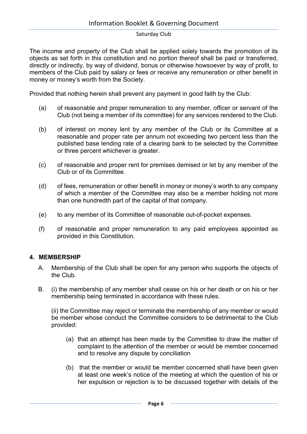The income and property of the Club shall be applied solely towards the promotion of its objects as set forth in this constitution and no portion thereof shall be paid or transferred, directly or indirectly, by way of dividend, bonus or otherwise howsoever by way of profit, to members of the Club paid by salary or fees or receive any remuneration or other benefit in money or money's worth from the Society.

Provided that nothing herein shall prevent any payment in good faith by the Club:

- (a) of reasonable and proper remuneration to any member, officer or servant of the Club (not being a member of its committee) for any services rendered to the Club.
- (b) of interest on money lent by any member of the Club or its Committee at a reasonable and proper rate per annum not exceeding two percent less than the published base lending rate of a clearing bank to be selected by the Committee or three percent whichever is greater.
- (c) of reasonable and proper rent for premises demised or let by any member of the Club or of its Committee.
- (d) of fees, remuneration or other benefit in money or money's worth to any company of which a member of the Committee may also be a member holding not more than one hundredth part of the capital of that company.
- (e) to any member of its Committee of reasonable out-of-pocket expenses.
- (f) of reasonable and proper remuneration to any paid employees appointed as provided in this Constitution.

#### **4. MEMBERSHIP**

- A. Membership of the Club shall be open for any person who supports the objects of the Club.
- B. (i) the membership of any member shall cease on his or her death or on his or her membership being terminated in accordance with these rules.

(ii) the Committee may reject or terminate the membership of any member or would be member whose conduct the Committee considers to be detrimental to the Club provided:

- (a) that an attempt has been made by the Committee to draw the matter of complaint to the attention of the member or would be member concerned and to resolve any dispute by conciliation
- (b) that the member or would be member concerned shall have been given at least one week's notice of the meeting at which the question of his or her expulsion or rejection is to be discussed together with details of the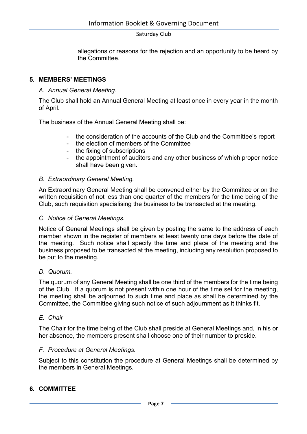allegations or reasons for the rejection and an opportunity to be heard by the Committee.

#### **5. MEMBERS' MEETINGS**

#### *A. Annual General Meeting.*

The Club shall hold an Annual General Meeting at least once in every year in the month of April.

The business of the Annual General Meeting shall be:

- the consideration of the accounts of the Club and the Committee's report
- the election of members of the Committee
- the fixing of subscriptions
- the appointment of auditors and any other business of which proper notice shall have been given.

#### *B. Extraordinary General Meeting.*

An Extraordinary General Meeting shall be convened either by the Committee or on the written requisition of not less than one quarter of the members for the time being of the Club, such requisition specialising the business to be transacted at the meeting.

#### *C. Notice of General Meetings.*

Notice of General Meetings shall be given by posting the same to the address of each member shown in the register of members at least twenty one days before the date of the meeting. Such notice shall specify the time and place of the meeting and the business proposed to be transacted at the meeting, including any resolution proposed to be put to the meeting.

#### *D. Quorum.*

The quorum of any General Meeting shall be one third of the members for the time being of the Club. If a quorum is not present within one hour of the time set for the meeting, the meeting shall be adjourned to such time and place as shall be determined by the Committee, the Committee giving such notice of such adjournment as it thinks fit.

#### *E. Chair*

The Chair for the time being of the Club shall preside at General Meetings and, in his or her absence, the members present shall choose one of their number to preside.

#### *F. Procedure at General Meetings.*

Subject to this constitution the procedure at General Meetings shall be determined by the members in General Meetings.

#### **6. COMMITTEE**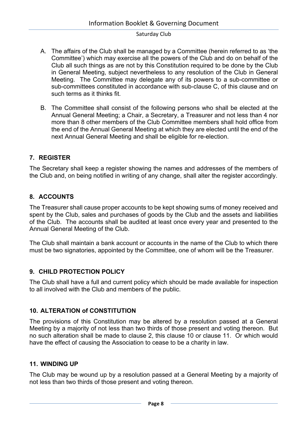- A. The affairs of the Club shall be managed by a Committee (herein referred to as 'the Committee') which may exercise all the powers of the Club and do on behalf of the Club all such things as are not by this Constitution required to be done by the Club in General Meeting, subject nevertheless to any resolution of the Club in General Meeting. The Committee may delegate any of its powers to a sub-committee or sub-committees constituted in accordance with sub-clause C, of this clause and on such terms as it thinks fit.
- B. The Committee shall consist of the following persons who shall be elected at the Annual General Meeting; a Chair, a Secretary, a Treasurer and not less than 4 nor more than 8 other members of the Club Committee members shall hold office from the end of the Annual General Meeting at which they are elected until the end of the next Annual General Meeting and shall be eligible for re-election.

#### **7. REGISTER**

The Secretary shall keep a register showing the names and addresses of the members of the Club and, on being notified in writing of any change, shall alter the register accordingly.

#### **8. ACCOUNTS**

The Treasurer shall cause proper accounts to be kept showing sums of money received and spent by the Club, sales and purchases of goods by the Club and the assets and liabilities of the Club. The accounts shall be audited at least once every year and presented to the Annual General Meeting of the Club.

The Club shall maintain a bank account or accounts in the name of the Club to which there must be two signatories, appointed by the Committee, one of whom will be the Treasurer.

#### **9. CHILD PROTECTION POLICY**

The Club shall have a full and current policy which should be made available for inspection to all involved with the Club and members of the public.

#### **10. ALTERATION of CONSTITUTION**

The provisions of this Constitution may be altered by a resolution passed at a General Meeting by a majority of not less than two thirds of those present and voting thereon. But no such alteration shall be made to clause 2, this clause 10 or clause 11. Or which would have the effect of causing the Association to cease to be a charity in law.

#### **11. WINDING UP**

The Club may be wound up by a resolution passed at a General Meeting by a majority of not less than two thirds of those present and voting thereon.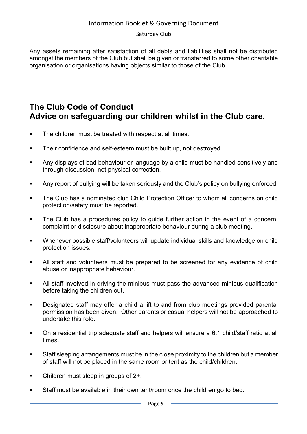Any assets remaining after satisfaction of all debts and liabilities shall not be distributed amongst the members of the Club but shall be given or transferred to some other charitable organisation or organisations having objects similar to those of the Club.

## **The Club Code of Conduct Advice on safeguarding our children whilst in the Club care.**

- **•** The children must be treated with respect at all times.
- **•** Their confidence and self-esteem must be built up, not destroyed.
- **Any displays of bad behaviour or language by a child must be handled sensitively and** through discussion, not physical correction.
- **Any report of bullying will be taken seriously and the Club's policy on bullying enforced.**
- The Club has a nominated club Child Protection Officer to whom all concerns on child protection/safety must be reported.
- The Club has a procedures policy to guide further action in the event of a concern, complaint or disclosure about inappropriate behaviour during a club meeting.
- § Whenever possible staff/volunteers will update individual skills and knowledge on child protection issues.
- All staff and volunteers must be prepared to be screened for any evidence of child abuse or inappropriate behaviour.
- All staff involved in driving the minibus must pass the advanced minibus qualification before taking the children out.
- Designated staff may offer a child a lift to and from club meetings provided parental permission has been given. Other parents or casual helpers will not be approached to undertake this role.
- On a residential trip adequate staff and helpers will ensure a 6:1 child/staff ratio at all times.
- Staff sleeping arrangements must be in the close proximity to the children but a member of staff will not be placed in the same room or tent as the child/children.
- Children must sleep in groups of 2+.
- Staff must be available in their own tent/room once the children go to bed.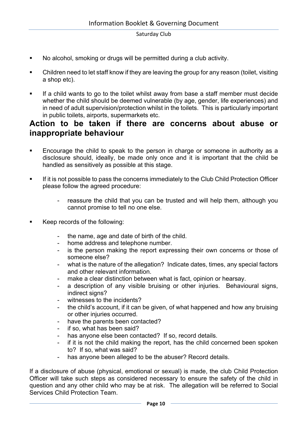- § No alcohol, smoking or drugs will be permitted during a club activity.
- § Children need to let staff know if they are leaving the group for any reason (toilet, visiting a shop etc).
- If a child wants to go to the toilet whilst away from base a staff member must decide whether the child should be deemed vulnerable (by age, gender, life experiences) and in need of adult supervision/protection whilst in the toilets. This is particularly important in public toilets, airports, supermarkets etc.

### **Action to be taken if there are concerns about abuse or inappropriate behaviour**

- **Encourage the child to speak to the person in charge or someone in authority as a** disclosure should, ideally, be made only once and it is important that the child be handled as sensitively as possible at this stage.
- **If it is not possible to pass the concerns immediately to the Club Child Protection Officer** please follow the agreed procedure:
	- reassure the child that you can be trusted and will help them, although you cannot promise to tell no one else.
- § Keep records of the following:
	- the name, age and date of birth of the child.
	- home address and telephone number.
	- is the person making the report expressing their own concerns or those of someone else?
	- what is the nature of the allegation? Indicate dates, times, any special factors and other relevant information.
	- make a clear distinction between what is fact, opinion or hearsay.
	- a description of any visible bruising or other injuries. Behavioural signs, indirect signs?
	- witnesses to the incidents?
	- the child's account, if it can be given, of what happened and how any bruising or other injuries occurred.
	- have the parents been contacted?
	- if so, what has been said?
	- has anyone else been contacted? If so, record details.
	- if it is not the child making the report, has the child concerned been spoken to? If so, what was said?
	- has anyone been alleged to be the abuser? Record details.

If a disclosure of abuse (physical, emotional or sexual) is made, the club Child Protection Officer will take such steps as considered necessary to ensure the safety of the child in question and any other child who may be at risk. The allegation will be referred to Social Services Child Protection Team.